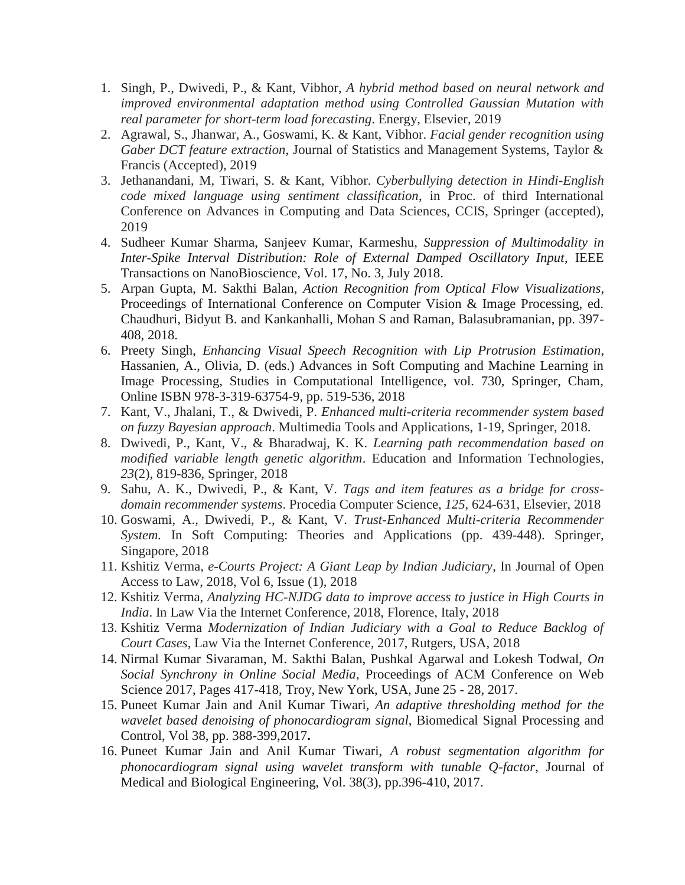- 1. Singh, P., Dwivedi, P., & Kant, Vibhor, *A hybrid method based on neural network and improved environmental adaptation method using Controlled Gaussian Mutation with real parameter for short-term load forecasting*. Energy, Elsevier, 2019
- 2. Agrawal, S., Jhanwar, A., Goswami, K. & Kant, Vibhor. *Facial gender recognition using Gaber DCT feature extraction*, Journal of Statistics and Management Systems, Taylor & Francis (Accepted), 2019
- 3. Jethanandani, M, Tiwari, S. & Kant, Vibhor. *Cyberbullying detection in Hindi-English code mixed language using sentiment classification*, in Proc. of third International Conference on Advances in Computing and Data Sciences, CCIS, Springer (accepted), 2019
- 4. Sudheer Kumar Sharma, Sanjeev Kumar, Karmeshu, *Suppression of Multimodality in Inter-Spike Interval Distribution: Role of External Damped Oscillatory Input*, IEEE Transactions on NanoBioscience, Vol. 17, No. 3, July 2018.
- 5. Arpan Gupta, M. Sakthi Balan, *Action Recognition from Optical Flow Visualizations*, Proceedings of International Conference on Computer Vision & Image Processing, ed. Chaudhuri, Bidyut B. and Kankanhalli, Mohan S and Raman, Balasubramanian, pp. 397- 408, 2018.
- 6. Preety Singh, *Enhancing Visual Speech Recognition with Lip Protrusion Estimation*, Hassanien, A., Olivia, D. (eds.) Advances in Soft Computing and Machine Learning in Image Processing, Studies in Computational Intelligence, vol. 730, Springer, Cham, Online ISBN 978-3-319-63754-9, pp. 519-536, 2018
- 7. Kant, V., Jhalani, T., & Dwivedi, P. *Enhanced multi-criteria recommender system based on fuzzy Bayesian approach*. Multimedia Tools and Applications, 1-19, Springer, 2018.
- 8. Dwivedi, P., Kant, V., & Bharadwaj, K. K. *Learning path recommendation based on modified variable length genetic algorithm*. Education and Information Technologies, *23*(2), 819-836, Springer, 2018
- 9. Sahu, A. K., Dwivedi, P., & Kant, V. *Tags and item features as a bridge for crossdomain recommender systems*. Procedia Computer Science, *125*, 624-631, Elsevier, 2018
- 10. Goswami, A., Dwivedi, P., & Kant, V. *Trust-Enhanced Multi-criteria Recommender System.* In Soft Computing: Theories and Applications (pp. 439-448). Springer, Singapore, 2018
- 11. Kshitiz Verma, *e-Courts Project: A Giant Leap by Indian Judiciary*, In Journal of Open Access to Law, 2018, Vol 6, Issue (1), 2018
- 12. Kshitiz Verma, *Analyzing HC-NJDG data to improve access to justice in High Courts in India*. In Law Via the Internet Conference, 2018, Florence, Italy, 2018
- 13. Kshitiz Verma *Modernization of Indian Judiciary with a Goal to Reduce Backlog of Court Cases*, Law Via the Internet Conference*,* 2017, Rutgers, USA, 2018
- 14. Nirmal Kumar Sivaraman, M. Sakthi Balan, Pushkal Agarwal and Lokesh Todwal, *On Social Synchrony in Online Social Media*, Proceedings of ACM Conference on Web Science 2017, Pages 417-418, Troy, New York, USA, June 25 - 28, 2017.
- 15. Puneet Kumar Jain and Anil Kumar Tiwari, *An adaptive thresholding method for the wavelet based denoising of phonocardiogram signal*, Biomedical Signal Processing and Control, Vol 38, pp. 388-399,2017**.**
- 16. Puneet Kumar Jain and Anil Kumar Tiwari, *A robust segmentation algorithm for phonocardiogram signal using wavelet transform with tunable Q-factor*, Journal of Medical and Biological Engineering, Vol. 38(3), pp.396-410, 2017.